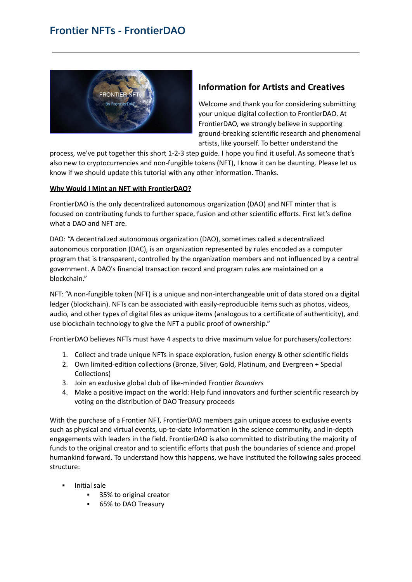# **Frontier NFTs - FrontierDAO**



## **Information for Artists and Creatives**

Welcome and thank you for considering submitting your unique digital collection to FrontierDAO. At FrontierDAO, we strongly believe in supporting ground-breaking scientific research and phenomenal artists, like yourself. To better understand the

process, we've put together this short 1-2-3 step guide. I hope you find it useful. As someone that's also new to cryptocurrencies and non-fungible tokens (NFT), I know it can be daunting. Please let us know if we should update this tutorial with any other information. Thanks.

### **Why Would I Mint an NFT with FrontierDAO?**

FrontierDAO is the only decentralized autonomous organization (DAO) and NFT minter that is focused on contributing funds to further space, fusion and other scientific efforts. First let's define what a DAO and NFT are.

DAO: "A decentralized autonomous organization (DAO), sometimes called a decentralized autonomous corporation (DAC), is an organization represented by rules encoded as a computer program that is transparent, controlled by the organization members and not influenced by a central government. A DAO's financial transaction record and program rules are maintained on a blockchain."

NFT: "A non-fungible token (NFT) is a unique and non-interchangeable unit of data stored on a digital ledger (blockchain). NFTs can be associated with easily-reproducible items such as photos, videos, audio, and other types of digital files as unique items (analogous to a certificate of authenticity), and use blockchain technology to give the NFT a public proof of ownership."

FrontierDAO believes NFTs must have 4 aspects to drive maximum value for purchasers/collectors:

- 1. Collect and trade unique NFTs in space exploration, fusion energy & other scientific fields
- 2. Own limited-edition collections (Bronze, Silver, Gold, Platinum, and Evergreen + Special Collections)
- 3. Join an exclusive global club of like-minded Frontier *Bounders*
- 4. Make a positive impact on the world: Help fund innovators and further scientific research by voting on the distribution of DAO Treasury proceeds

With the purchase of a Frontier NFT, FrontierDAO members gain unique access to exclusive events such as physical and virtual events, up-to-date information in the science community, and in-depth engagements with leaders in the field. FrontierDAO is also committed to distributing the majority of funds to the original creator and to scientific efforts that push the boundaries of science and propel humankind forward. To understand how this happens, we have instituted the following sales proceed structure:

- Initial sale
	- 35% to original creator
	- 65% to DAO Treasury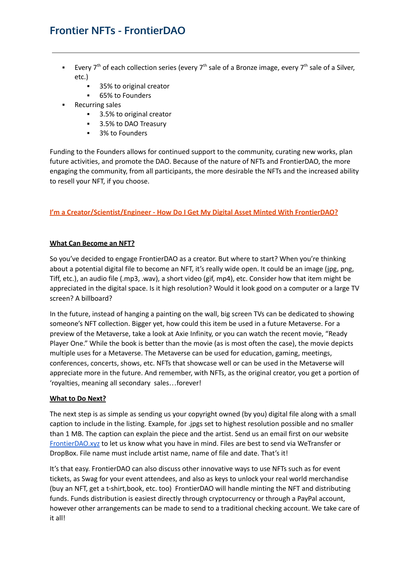# **Frontier NFTs - FrontierDAO**

- Every 7<sup>th</sup> of each collection series (every 7<sup>th</sup> sale of a Bronze image, every 7<sup>th</sup> sale of a Silver, etc.)
	- 35% to original creator
	- 65% to Founders
- Recurring sales
	- 3.5% to original creator
	- 3.5% to DAO Treasury
	- 3% to Founders

Funding to the Founders allows for continued support to the community, curating new works, plan future activities, and promote the DAO. Because of the nature of NFTs and FrontierDAO, the more engaging the community, from all participants, the more desirable the NFTs and the increased ability to resell your NFT, if you choose.

## **I'm a Creator/Scientist/Engineer - How Do I Get My Digital Asset Minted With FrontierDAO?**

## **What Can Become an NFT?**

So you've decided to engage FrontierDAO as a creator. But where to start? When you're thinking about a potential digital file to become an NFT, it's really wide open. It could be an image (jpg, png, Tiff, etc.), an audio file (.mp3, .wav), a short video (gif, mp4), etc. Consider how that item might be appreciated in the digital space. Is it high resolution? Would it look good on a computer or a large TV screen? A billboard?

In the future, instead of hanging a painting on the wall, big screen TVs can be dedicated to showing someone's NFT collection. Bigger yet, how could this item be used in a future Metaverse. For a preview of the Metaverse, take a look at Axie Infinity, or you can watch the recent movie, "Ready Player One." While the book is better than the movie (as is most often the case), the movie depicts multiple uses for a Metaverse. The Metaverse can be used for education, gaming, meetings, conferences, concerts, shows, etc. NFTs that showcase well or can be used in the Metaverse will appreciate more in the future. And remember, with NFTs, as the original creator, you get a portion of 'royalties, meaning all secondary sales…forever!

## **What to Do Next?**

The next step is as simple as sending us your copyright owned (by you) digital file along with a small caption to include in the listing. Example, for .jpgs set to highest resolution possible and no smaller than 1 MB. The caption can explain the piece and the artist. Send us an email first on our website [FrontierDAO.xyz](http://frontierdao.xyz) to let us know what you have in mind. Files are best to send via WeTransfer or DropBox. File name must include artist name, name of file and date. That's it!

It's that easy. FrontierDAO can also discuss other innovative ways to use NFTs such as for event tickets, as Swag for your event attendees, and also as keys to unlock your real world merchandise (buy an NFT, get a t-shirt,book, etc. too) FrontierDAO will handle minting the NFT and distributing funds. Funds distribution is easiest directly through cryptocurrency or through a PayPal account, however other arrangements can be made to send to a traditional checking account. We take care of it all!